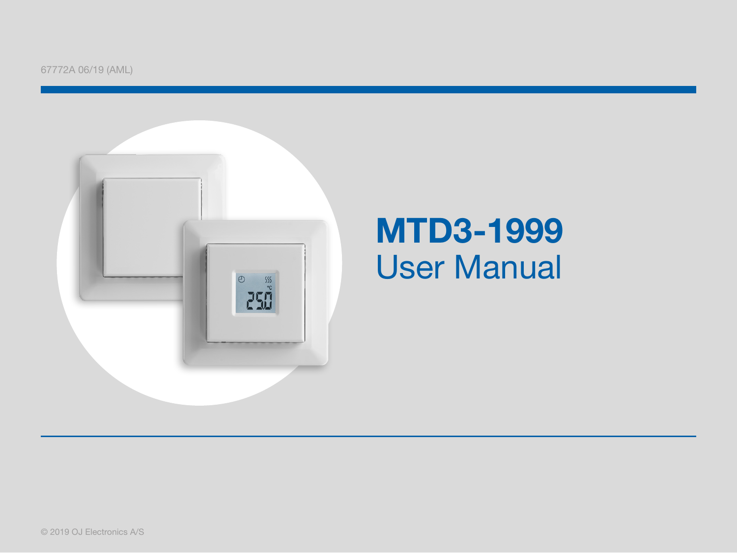

### MTD3-1999 User Manual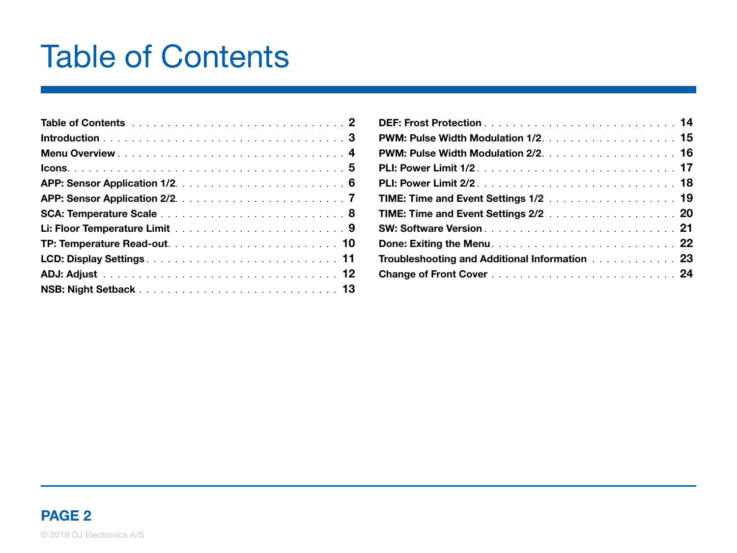### Table of Contents

| <b>TIME: Time and Event Settings 1/2</b> 19                                                            |  |
|--------------------------------------------------------------------------------------------------------|--|
| <b>TIME: Time and Event Settings 2/2</b> 20                                                            |  |
|                                                                                                        |  |
|                                                                                                        |  |
| Troubleshooting and Additional Information [1] Troubleshooting and Additional Information [1] Troubles |  |
|                                                                                                        |  |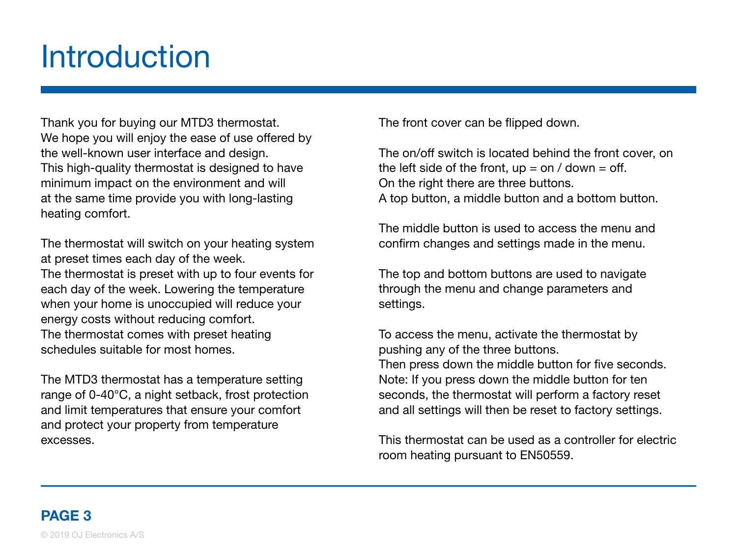### <span id="page-2-0"></span>**Introduction**

Thank you for buying our MTD3 thermostat. We hope you will enjoy the ease of use offered by the well-known user interface and design. This high-quality thermostat is designed to have minimum impact on the environment and will at the same time provide you with long-lasting heating comfort.

The thermostat will switch on your heating system at preset times each day of the week. The thermostat is preset with up to four events for each day of the week. Lowering the temperature when your home is unoccupied will reduce your energy costs without reducing comfort. The thermostat comes with preset heating schedules suitable for most homes.

The MTD3 thermostat has a temperature setting range of 0-40°C, a night setback, frost protection and limit temperatures that ensure your comfort and protect your property from temperature excesses.

The front cover can be flipped down.

The on/off switch is located behind the front cover, on the left side of the front,  $up = on / down = off$ . On the right there are three buttons. A top button, a middle button and a bottom button.

The middle button is used to access the menu and confirm changes and settings made in the menu.

The top and bottom buttons are used to navigate through the menu and change parameters and settings.

To access the menu, activate the thermostat by pushing any of the three buttons. Then press down the middle button for five seconds. Note: If you press down the middle button for ten seconds, the thermostat will perform a factory reset and all settings will then be reset to factory settings.

This thermostat can be used as a controller for electric room heating pursuant to EN50559.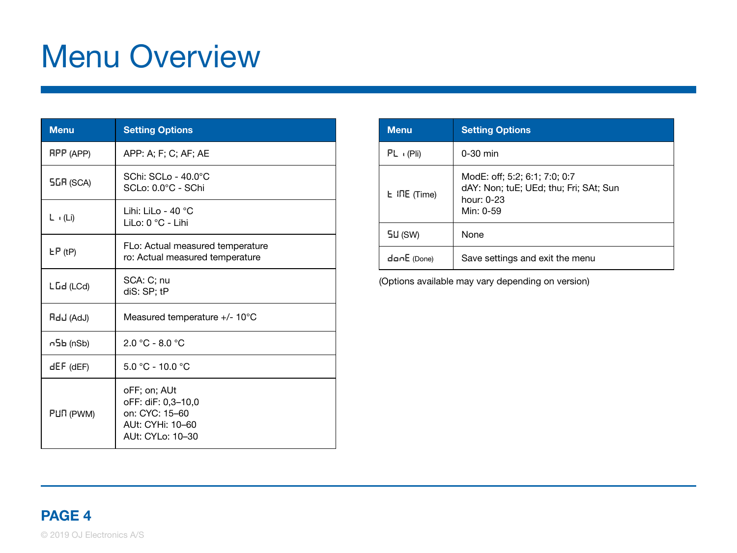## <span id="page-3-0"></span>Menu Overview

| <b>Menu</b>      | <b>Setting Options</b>                                                                       |
|------------------|----------------------------------------------------------------------------------------------|
| RPP (APP)        | APP: A; F; C; AF; AE                                                                         |
| <b>5GR (SCA)</b> | SChi: SCLo - 40.0°C<br>SCLo: 0.0°C - SChi                                                    |
| $L \cdot (Li)$   | Lihi: LiLo - 40 $^{\circ}$ C<br>LiLo: 0 °C - Lihi                                            |
| $E P$ (tP)       | FLo: Actual measured temperature<br>ro: Actual measured temperature                          |
| LGd (LCd)        | SCA: C; nu<br>diS: SP: tP                                                                    |
| RdJ (AdJ)        | Measured temperature +/- 10°C                                                                |
| ი5Ь (nSb)        | $2.0 °C - 8.0 °C$                                                                            |
| dEF (dEF)        | $5.0 °C - 10.0 °C$                                                                           |
| PUN (PWM)        | oFF; on; AUt<br>oFF: diF: 0.3-10.0<br>on: CYC: 15-60<br>AUt: CYHi: 10-60<br>AUt: CYLo: 10-30 |

| <b>Menu</b>  | <b>Setting Options</b>                                                                                     |
|--------------|------------------------------------------------------------------------------------------------------------|
| PL (Pli)     | $0-30$ min                                                                                                 |
| L INE (Time) | ModE: off; 5:2; 6:1; 7:0; 0:7<br>dAY: Non; tuE; UEd; thu; Fri; SAt; Sun<br>hour $0-23$<br>Min $\cdot$ 0-59 |
| 5U (SW)      | None                                                                                                       |
| danE (Done)  | Save settings and exit the menu                                                                            |

(Options available may vary depending on version)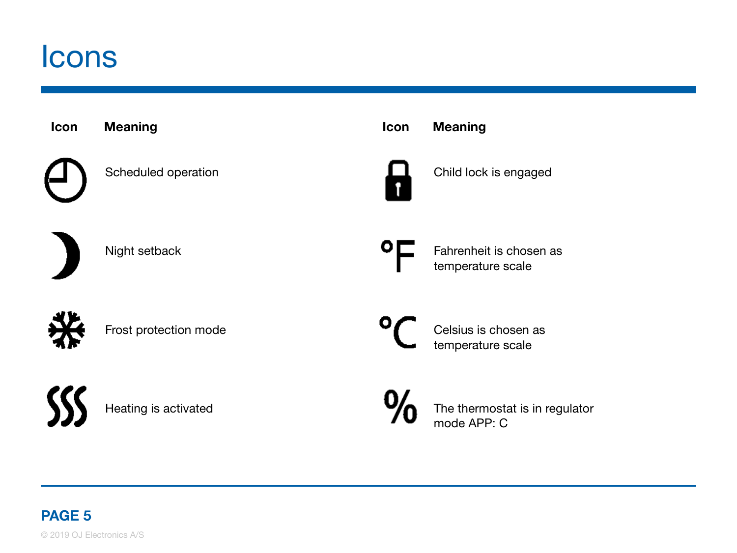### <span id="page-4-0"></span>Icons

| Icon | <b>Meaning</b>        | Icon | <b>Meaning</b>                                |
|------|-----------------------|------|-----------------------------------------------|
|      | Scheduled operation   |      | Child lock is engaged                         |
|      | Night setback         |      | Fahrenheit is chosen as<br>temperature scale  |
|      | Frost protection mode |      | Celsius is chosen as<br>temperature scale     |
|      | Heating is activated  |      | The thermostat is in regulator<br>mode APP: C |
|      |                       |      |                                               |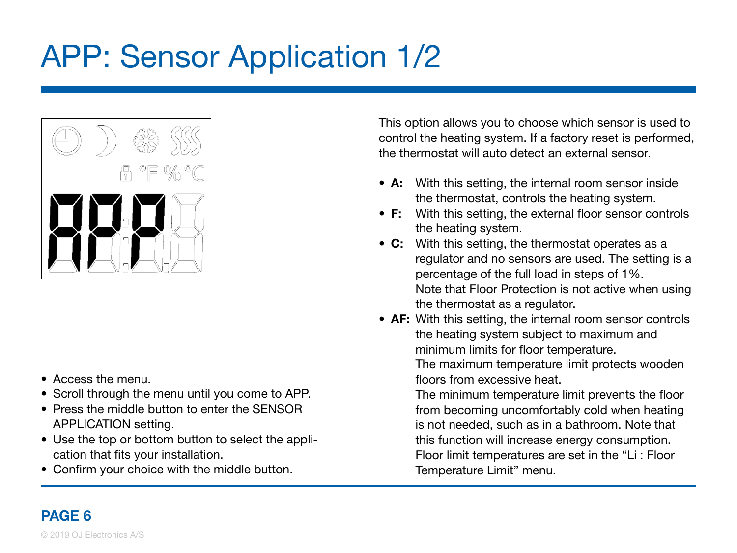# <span id="page-5-0"></span>APP: Sensor Application 1/2



- Access the menu.
- Scroll through the menu until you come to APP.
- Press the middle button to enter the SENSOR APPLICATION setting.
- Use the top or bottom button to select the application that fits your installation.
- Confirm your choice with the middle button.

This option allows you to choose which sensor is used to control the heating system. If a factory reset is performed, the thermostat will auto detect an external sensor.

- A: With this setting, the internal room sensor inside the thermostat, controls the heating system.
- F: With this setting, the external floor sensor controls the heating system.
- C: With this setting, the thermostat operates as a regulator and no sensors are used. The setting is a percentage of the full load in steps of 1%. Note that Floor Protection is not active when using the thermostat as a regulator.
- AF: With this setting, the internal room sensor controls the heating system subject to maximum and minimum limits for floor temperature. The maximum temperature limit protects wooden floors from excessive heat.

 The minimum temperature limit prevents the floor from becoming uncomfortably cold when heating is not needed, such as in a bathroom. Note that this function will increase energy consumption. Floor limit temperatures are set in the "Li : Floor Temperature Limit" menu.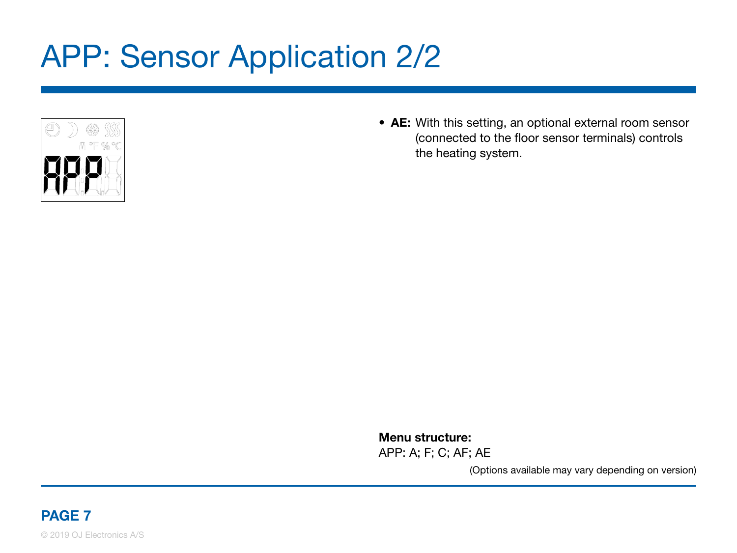## <span id="page-6-0"></span>APP: Sensor Application 2/2



• AE: With this setting, an optional external room sensor (connected to the floor sensor terminals) controls the heating system.

Menu structure:

APP: A; F; C; AF; AE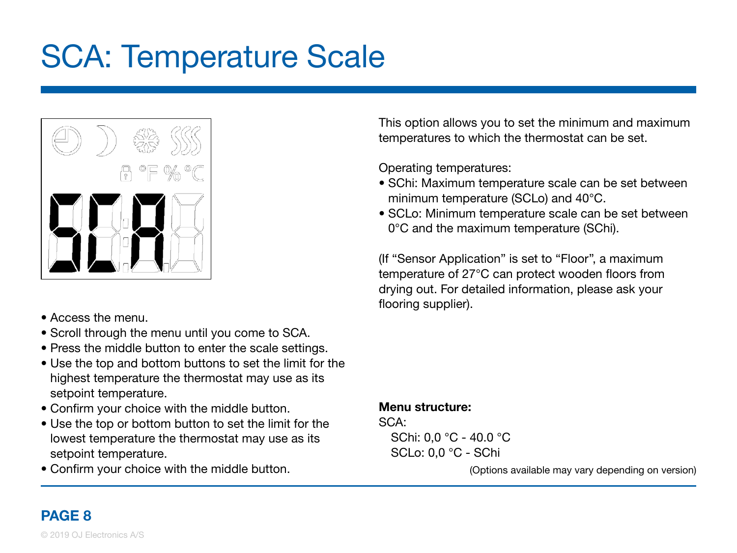## <span id="page-7-0"></span>SCA: Temperature Scale



- Access the menu.
- Scroll through the menu until you come to SCA.
- Press the middle button to enter the scale settings.
- Use the top and bottom buttons to set the limit for the highest temperature the thermostat may use as its setpoint temperature.
- Confirm your choice with the middle button.
- Use the top or bottom button to set the limit for the lowest temperature the thermostat may use as its setpoint temperature.
- Confirm your choice with the middle button.

This option allows you to set the minimum and maximum temperatures to which the thermostat can be set.

Operating temperatures:

- SChi: Maximum temperature scale can be set between minimum temperature (SCLo) and 40°C.
- SCLo: Minimum temperature scale can be set between 0°C and the maximum temperature (SChi).

(If "Sensor Application" is set to "Floor", a maximum temperature of 27°C can protect wooden floors from drying out. For detailed information, please ask your flooring supplier).

#### Menu structure: SCA:

SChi: 0,0 °C - 40.0 °C SCLo: 0,0 °C - SChi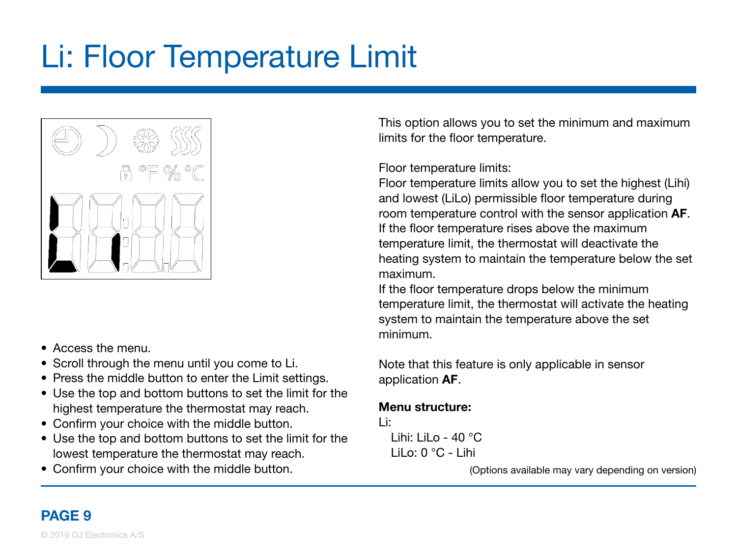# <span id="page-8-0"></span>Li: Floor Temperature Limit



- Access the menu.
- Scroll through the menu until you come to Li.
- Press the middle button to enter the Limit settings.
- Use the top and bottom buttons to set the limit for the highest temperature the thermostat may reach.
- Confirm your choice with the middle button.
- Use the top and bottom buttons to set the limit for the lowest temperature the thermostat may reach.
- Confirm your choice with the middle button.

This option allows you to set the minimum and maximum limits for the floor temperature.

#### Floor temperature limits:

Floor temperature limits allow you to set the highest (Lihi) and lowest (LiLo) permissible floor temperature during room temperature control with the sensor application AF. If the floor temperature rises above the maximum temperature limit, the thermostat will deactivate the heating system to maintain the temperature below the set maximum.

If the floor temperature drops below the minimum temperature limit, the thermostat will activate the heating system to maintain the temperature above the set minimum.

Note that this feature is only applicable in sensor application AF.

#### Menu structure:

Li:

Lihi: LiLo - 40 $°C$ LiLo:  $0^{\circ}$ C - Lihi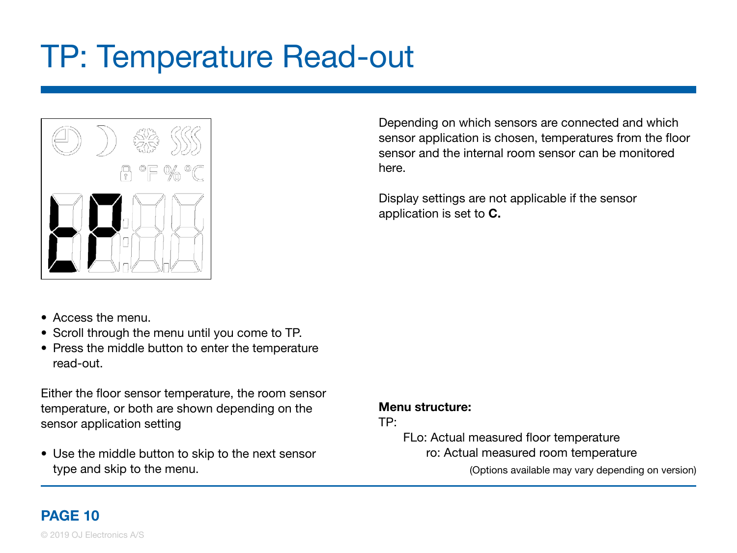### <span id="page-9-0"></span>TP: Temperature Read-out



- Access the menu.
- Scroll through the menu until you come to TP.
- Press the middle button to enter the temperature read-out.

Either the floor sensor temperature, the room sensor temperature, or both are shown depending on the sensor application setting

• Use the middle button to skip to the next sensor type and skip to the menu.

Depending on which sensors are connected and which sensor application is chosen, temperatures from the floor sensor and the internal room sensor can be monitored here.

Display settings are not applicable if the sensor application is set to C.

#### Menu structure:

#### TP:

 FLo: Actual measured floor temperature ro: Actual measured room temperature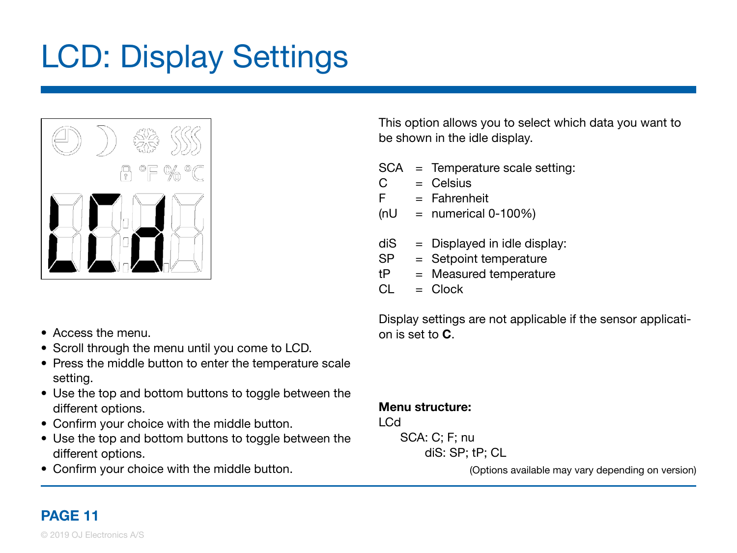# <span id="page-10-0"></span>LCD: Display Settings



This option allows you to select which data you want to be shown in the idle display.

- SCA = Temperature scale setting:
- $C = C$ elsius
- $F =$ Fahrenheit
- $(nU = numerical 0-100\%)$
- $diS = Displayed$  in idle display:
- SP = Setpoint temperature
- $tP = Measured$  temperature
- $Cl = Clock$

- $\bullet$  Access the menu.
- Scroll through the menu until you come to LCD.
- Press the middle button to enter the temperature scale setting.
- Use the top and bottom buttons to toggle between the different options.
- Confirm your choice with the middle button.
- Use the top and bottom buttons to toggle between the different options.
- Confirm your choice with the middle button.

Display settings are not applicable if the sensor application is set to  $\mathbf C$ 

Menu structure:

LCd

 SCA: C; F; nu diS: SP; tP; CL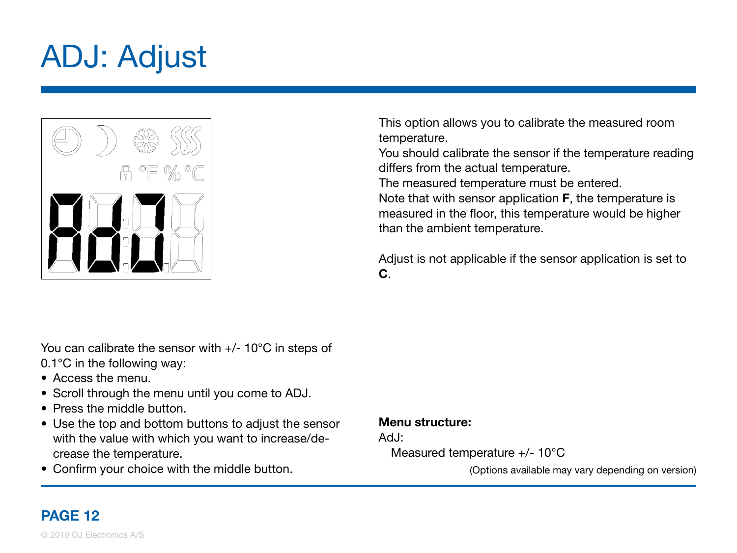# <span id="page-11-0"></span>ADJ: Adjust



This option allows you to calibrate the measured room temperature.

You should calibrate the sensor if the temperature reading differs from the actual temperature.

The measured temperature must be entered.

Note that with sensor application F, the temperature is measured in the floor, this temperature would be higher than the ambient temperature.

Adjust is not applicable if the sensor application is set to C.

You can calibrate the sensor with  $+/- 10^{\circ}$ C in steps of 0.1°C in the following way:

- Access the menu.
- Scroll through the menu until you come to ADJ.
- Press the middle button.
- Use the top and bottom buttons to adjust the sensor with the value with which you want to increase/decrease the temperature.
- Confirm your choice with the middle button.

#### Menu structure:

Ad.I:

Measured temperature +/- 10°C

(Options available may vary depending on version)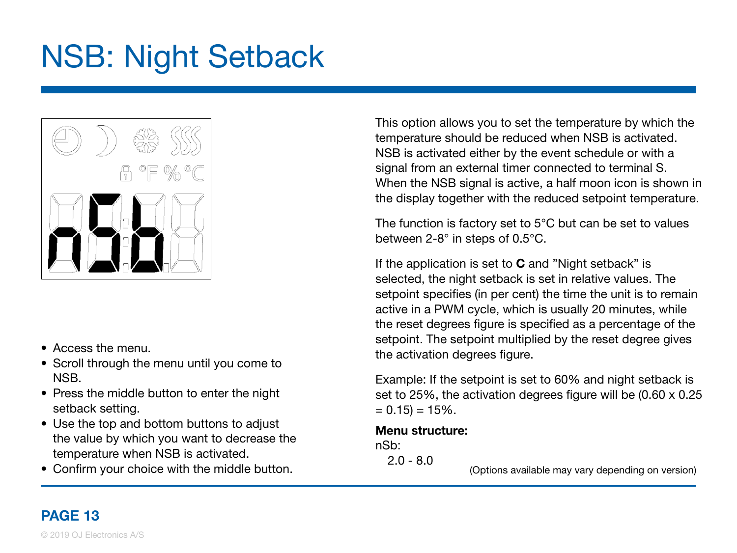### <span id="page-12-0"></span>NSB: Night Setback



- Access the menu.
- Scroll through the menu until you come to NSB.
- Press the middle button to enter the night setback setting.
- Use the top and bottom buttons to adjust the value by which you want to decrease the temperature when NSB is activated.
- Confirm your choice with the middle button.

This option allows you to set the temperature by which the temperature should be reduced when NSB is activated. NSB is activated either by the event schedule or with a signal from an external timer connected to terminal S. When the NSB signal is active, a half moon icon is shown in the display together with the reduced setpoint temperature.

The function is factory set to 5°C but can be set to values between 2-8° in steps of 0.5°C.

If the application is set to  $C$  and "Night setback" is selected, the night setback is set in relative values. The setpoint specifies (in per cent) the time the unit is to remain active in a PWM cycle, which is usually 20 minutes, while the reset degrees figure is specified as a percentage of the setpoint. The setpoint multiplied by the reset degree gives the activation degrees figure.

Example: If the setpoint is set to 60% and night setback is set to 25%, the activation degrees figure will be (0.60 x 0.25  $= 0.15$  = 15%.

#### Menu structure:

nSb:

 $2.0 - 8.0$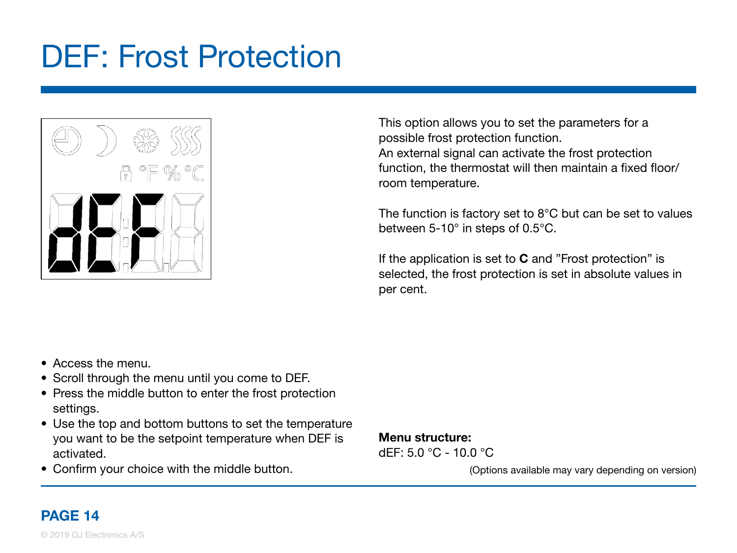### <span id="page-13-0"></span>DEF: Frost Protection



This option allows you to set the parameters for a possible frost protection function. An external signal can activate the frost protection function, the thermostat will then maintain a fixed floor/ room temperature.

The function is factory set to 8°C but can be set to values between 5-10° in steps of 0.5°C.

If the application is set to **C** and "Frost protection" is selected, the frost protection is set in absolute values in per cent.

- Access the menu.
- Scroll through the menu until you come to DEF.
- Press the middle button to enter the frost protection settings.
- Use the top and bottom buttons to set the temperature you want to be the setpoint temperature when DEF is activated.
- Confirm your choice with the middle button.

#### Menu structure:

dEF: 5.0 °C - 10.0 °C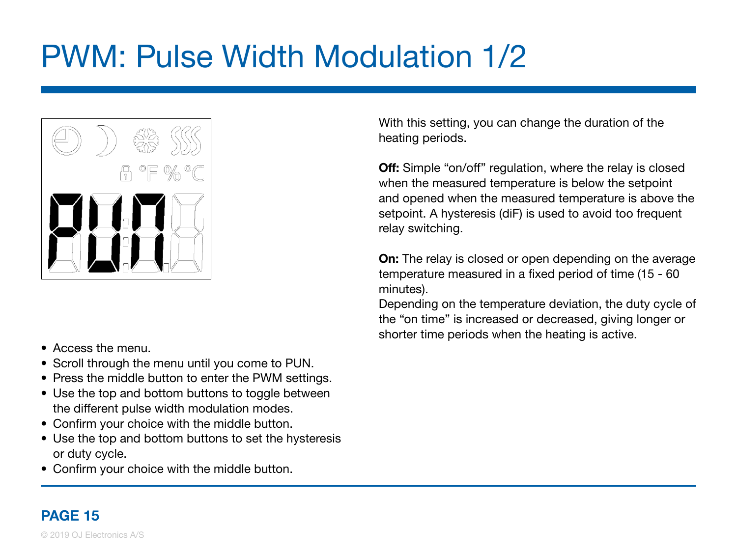# <span id="page-14-0"></span>PWM: Pulse Width Modulation 1/2



- Access the menu.
- Scroll through the menu until you come to PUN.
- Press the middle button to enter the PWM settings.
- Use the top and bottom buttons to toggle between the different pulse width modulation modes.
- Confirm your choice with the middle button.
- Use the top and bottom buttons to set the hysteresis or duty cycle.
- Confirm your choice with the middle button.

With this setting, you can change the duration of the heating periods.

**Off:** Simple "on/off" regulation, where the relay is closed when the measured temperature is below the setpoint and opened when the measured temperature is above the setpoint. A hysteresis (diF) is used to avoid too frequent relay switching.

**On:** The relay is closed or open depending on the average temperature measured in a fixed period of time (15 - 60 minutes).

Depending on the temperature deviation, the duty cycle of the "on time" is increased or decreased, giving longer or shorter time periods when the heating is active.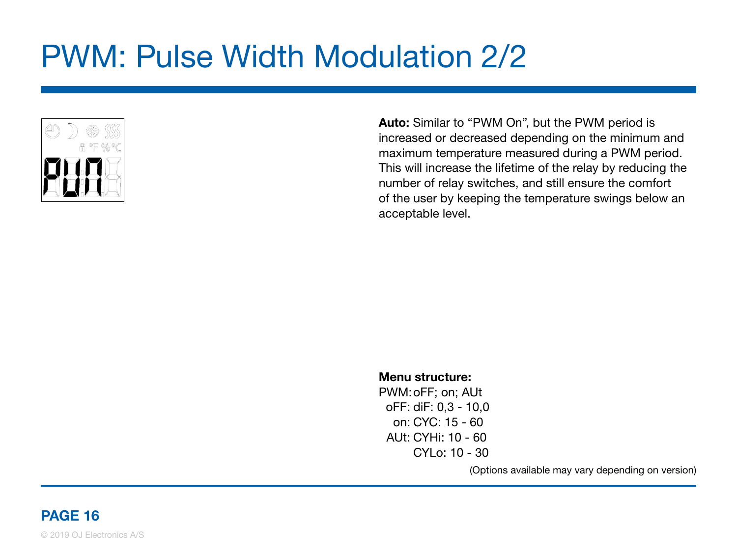## <span id="page-15-0"></span>PWM: Pulse Width Modulation 2/2



Auto: Similar to "PWM On", but the PWM period is increased or decreased depending on the minimum and maximum temperature measured during a PWM period. This will increase the lifetime of the relay by reducing the number of relay switches, and still ensure the comfort of the user by keeping the temperature swings below an acceptable level.

#### Menu structure:

PWM: oFF; on; AUt oFF: diF: 0,3 - 10,0 on: CYC: 15 - 60 AUt: CYHi: 10 - 60 CYLo: 10 - 30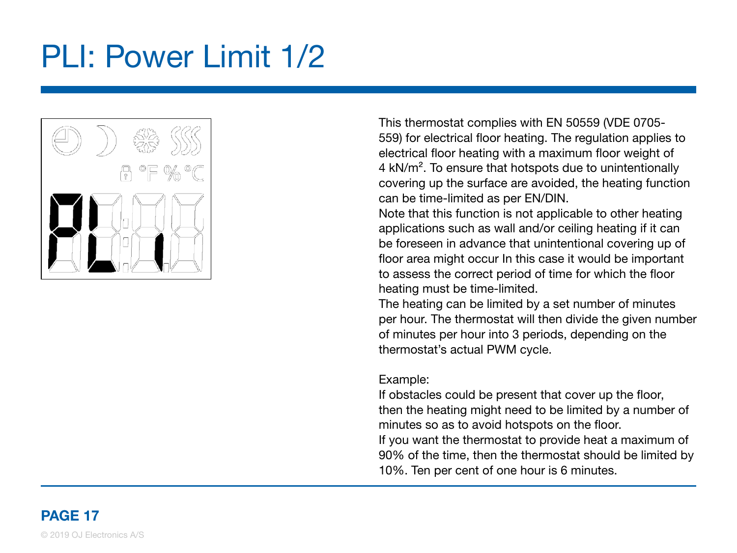## <span id="page-16-0"></span>PLI: Power Limit 1/2



This thermostat complies with EN 50559 (VDE 0705- 559) for electrical floor heating. The regulation applies to electrical floor heating with a maximum floor weight of 4 kN/m². To ensure that hotspots due to unintentionally covering up the surface are avoided, the heating function can be time-limited as per EN/DIN.

Note that this function is not applicable to other heating applications such as wall and/or ceiling heating if it can be foreseen in advance that unintentional covering up of floor area might occur In this case it would be important to assess the correct period of time for which the floor heating must be time-limited.

The heating can be limited by a set number of minutes per hour. The thermostat will then divide the given number of minutes per hour into 3 periods, depending on the thermostat's actual PWM cycle.

#### Example:

If obstacles could be present that cover up the floor, then the heating might need to be limited by a number of minutes so as to avoid hotspots on the floor. If you want the thermostat to provide heat a maximum of 90% of the time, then the thermostat should be limited by 10%. Ten per cent of one hour is 6 minutes.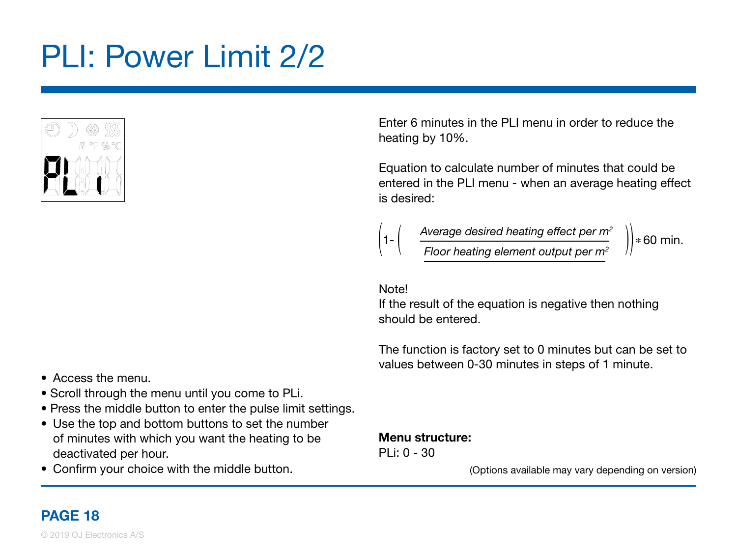# <span id="page-17-0"></span>PLI: Power Limit 2/2



Enter 6 minutes in the PLI menu in order to reduce the heating by 10%.

Equation to calculate number of minutes that could be entered in the PLI menu - when an average heating effect is desired:



Average desired heating effect per m $^{\scriptscriptstyle 2}$  $\left(1-\left(\begin{array}{cc} 1-\cos\theta & -\sin\theta & -\sin\theta \\ \cos\theta & -\sin\theta & \sin\theta \\ \cos\theta & \sin\theta & \cos\theta \end{array}\right)\right) * 60$  min.

Note!

If the result of the equation is negative then nothing should be entered.

The function is factory set to 0 minutes but can be set to values between 0-30 minutes in steps of 1 minute.

- Access the menu.
- Scroll through the menu until you come to PLi.
- Press the middle button to enter the pulse limit settings.
- Use the top and bottom buttons to set the number of minutes with which you want the heating to be deactivated per hour.
- Confirm your choice with the middle button.

#### Menu structure:

PLi: 0 - 30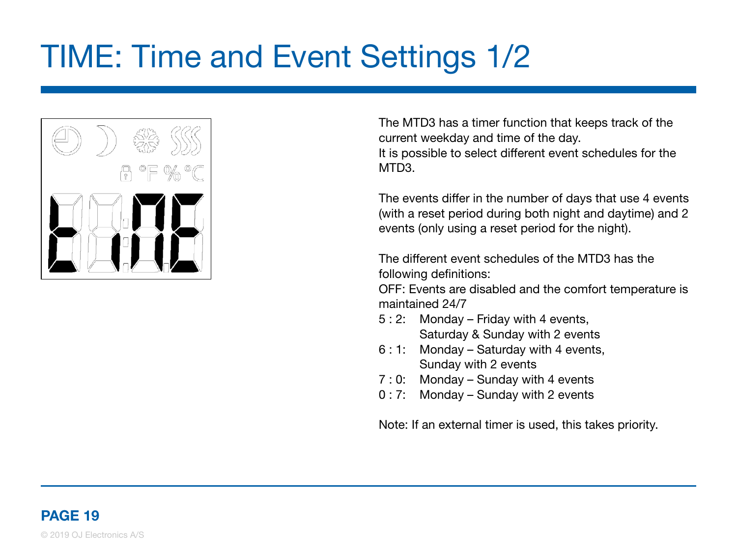# <span id="page-18-0"></span>TIME: Time and Event Settings 1/2



The MTD3 has a timer function that keeps track of the current weekday and time of the day. It is possible to select different event schedules for the MTD3.

The events differ in the number of days that use 4 events (with a reset period during both night and daytime) and 2 events (only using a reset period for the night).

The different event schedules of the MTD3 has the following definitions:

OFF: Events are disabled and the comfort temperature is maintained 24/7

- 5 : 2: Monday Friday with 4 events, Saturday & Sunday with 2 events
- 6 : 1: Monday Saturday with 4 events, Sunday with 2 events
- 7 : 0: Monday Sunday with 4 events
- 0 : 7: Monday Sunday with 2 events

Note: If an external timer is used, this takes priority.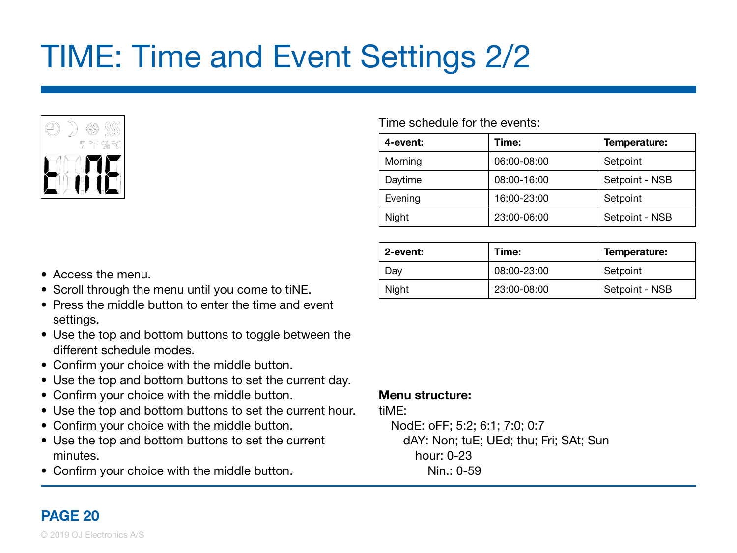# <span id="page-19-0"></span>TIME: Time and Event Settings 2/2



#### Time schedule for the events:

| 4-event: | Time:       | Temperature:   |
|----------|-------------|----------------|
| Morning  | 06:00-08:00 | Setpoint       |
| Daytime  | 08:00-16:00 | Setpoint - NSB |
| Evening  | 16:00-23:00 | Setpoint       |
| Night    | 23:00-06:00 | Setpoint - NSB |

| 2-event: | Time:       | Temperature:   |
|----------|-------------|----------------|
| Dav      | 08:00-23:00 | Setpoint       |
| Niaht    | 23:00-08:00 | Setpoint - NSB |

- Access the menu.
- Scroll through the menu until you come to tiNE.
- Press the middle button to enter the time and event settings.
- Use the top and bottom buttons to toggle between the different schedule modes.
- Confirm your choice with the middle button.
- Use the top and bottom buttons to set the current day.
- Confirm your choice with the middle button.
- Use the top and bottom buttons to set the current hour.
- Confirm your choice with the middle button.
- Use the top and bottom buttons to set the current minutes.
- Confirm your choice with the middle button.

#### Menu structure:

tiME:

NodE: oFF; 5:2; 6:1; 7:0; 0:7 dAY: Non; tuE; UEd; thu; Fri; SAt; Sun hour: 0-23 Nin.: 0-59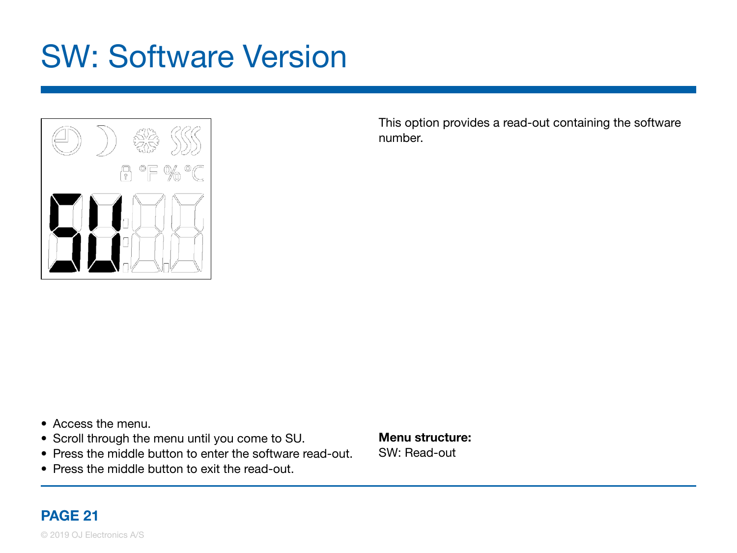### <span id="page-20-0"></span>SW: Software Version



This option provides a read-out containing the software number.

- Access the menu.
- Scroll through the menu until you come to SU.
- Press the middle button to enter the software read-out.
- Press the middle button to exit the read-out.

Menu structure: SW: Read-out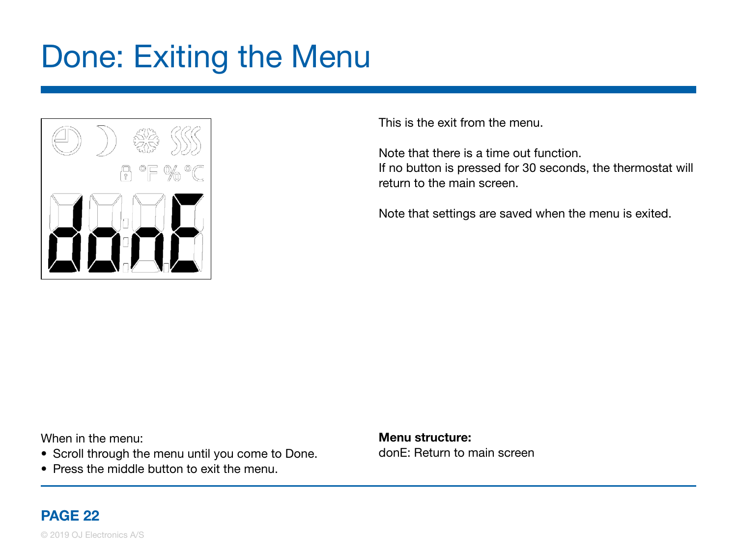### <span id="page-21-0"></span>Done: Exiting the Menu



This is the exit from the menu.

Note that there is a time out function. If no button is pressed for 30 seconds, the thermostat will return to the main screen.

Note that settings are saved when the menu is exited.

When in the menu:

- Scroll through the menu until you come to Done.
- Press the middle button to exit the menu.

Menu structure: donE: Return to main screen

#### PAGE 22

© 2019 OJ Electronics A/S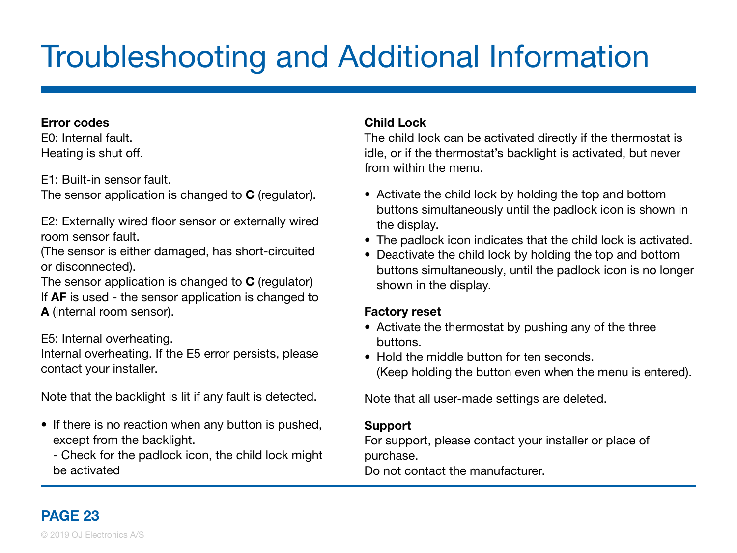# <span id="page-22-0"></span>Troubleshooting and Additional Information

#### Error codes

E0: Internal fault. Heating is shut off.

E1: Built-in sensor fault.

The sensor application is changed to **C** (regulator).

E2: Externally wired floor sensor or externally wired room sensor fault.

(The sensor is either damaged, has short-circuited or disconnected).

The sensor application is changed to C (regulator) If **AF** is used - the sensor application is changed to A (internal room sensor).

E5: Internal overheating.

Internal overheating. If the E5 error persists, please contact your installer.

Note that the backlight is lit if any fault is detected.

• If there is no reaction when any button is pushed, except from the backlight.

 - Check for the padlock icon, the child lock might be activated

#### Child Lock

The child lock can be activated directly if the thermostat is idle, or if the thermostat's backlight is activated, but never from within the menu.

- Activate the child lock by holding the top and bottom buttons simultaneously until the padlock icon is shown in the display.
- The padlock icon indicates that the child lock is activated.
- Deactivate the child lock by holding the top and bottom buttons simultaneously, until the padlock icon is no longer shown in the display.

#### Factory reset

- Activate the thermostat by pushing any of the three buttons.
- Hold the middle button for ten seconds. (Keep holding the button even when the menu is entered).

Note that all user-made settings are deleted.

#### **Support**

For support, please contact your installer or place of purchase.

Do not contact the manufacturer.